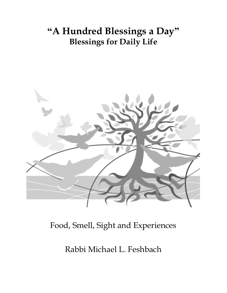# **"A Hundred Blessings a Day" Blessings for Daily Life**



# Food, Smell, Sight and Experiences

Rabbi Michael L. Feshbach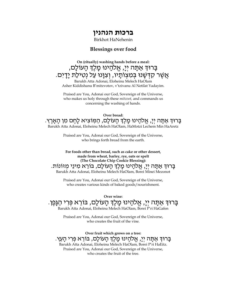# **ברכות הנהנין**

Birkhot HaNehenin

#### **Blessings over food**

**On (ritually) washing hands before a meal:** בָּרוּדְ אַתָּה יְיָ, אֱלֹהָינוּ מָלֶדְ הָעוֹלָם, ּ אֲשֶׁר קִדְּשָׁנוּ בְּמִצְוֹתָיו, וְצִוָּנוּ עַל נִטִילַת יָדַיִם. Barukh Atta Adonai, Eloheinu Melech HaOlam Asher Kiddishanu B'mitzvotov, v'tzivanu Al Netilat Yadayim.

Praised are You, Adonai our God, Sovereign of the Universe, who makes us holy through these *mitzvot,* and commands us concerning the washing of hands.

**Over bread:** בָּרוּ**ּ** ְרַּאֲתָה יְיָ, אֱלֹהָינוּ מָלֶךְ הָעוֹלָם, הַמְּוֹצִיא לָחֶם מִן הָאָרֵץ. Barukh Atta Adonai, Eloheinu Melech HaOlam, HaMotzi Lechem Min HaAretz

> Praised are You, Adonai our God, Sovereign of the Universe, who brings forth bread from the earth.

**For foods other than bread, such as cake or other dessert, made from wheat, barley, rye, oats or spelt (The Chocolate Chip Cookie Blessing):** ּבָּרוּדְּ אַתָּה יִיַ, אֱלֹהֲינוּ מֵלֵֽדְּ הָעוֹלָם, בּוֹרֵא מִינֵי מִזוֹנוֹת. Barukh Atta Adonai, Eloheinu Melech HaOlam, Borei Minei Mezonot

Praised are You, Adonai our God, Sovereign of the Universe, who creates various kinds of baked goods/nourishment.

**Over wine:** בָּרוּדְ אַתָּה יְיָ, אֱלֹהָינוּ מֶלֶדְ הָעוֹלָם, בּוֹרֵא פְּרִי הַגָּפֵן. Barukh Atta Adonai, Eloheinu Melech HaOlam, Borei P'ri HaGafen

> Praised are You, Adonai our God, Sovereign of the Universe, who creates the fruit of the vine.

**Over fruit which grows on a tree:** ָבְרוּךְ אַתָּה יְיָ, אֱלֹהָינוּ מֶלֶךְ הָעוֹלָם, בּוֹרֵא פְּרִי הָעֵץ. Barukh Atta Adonai, Eloheinu Melech HaOlam, Borei P'ri HaEitz. Praised are You, Adonai our God, Sovereign of the Universe, who creates the fruit of the tree.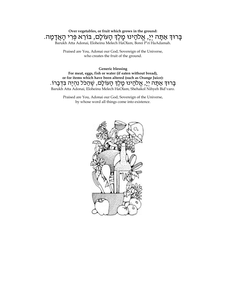### **Over vegetables, or fruit which grows in the ground:** ָבְּרוּדְּ אַתָּה יְיָ, אֱלֹהָינוּ מֶֽלֶֽדְּ הָעוֹלָם, בּוֹרֵא פְּרִי הָאֲדָמָה.

Barukh Atta Adonai, Eloheinu Melech HaOlam, Borei P'ri HaAdamah.

Praised are You, Adonai our God, Sovereign of the Universe, who creates the fruit of the ground.

**Generic blessing For meat, eggs, fish or water (if eaten without bread), or for items which have been altered (such as Orange Juice):** ּבָּרוּדְּ אַתָּה יְיָ, אֱלֹהָינוּ מֶלֶדְ הָעוֹלָם, שֶׁהַכֹּל נִהְיֶה בִּדְבָרוֹ. Barukh Atta Adonai, Eloheinu Melech HaOlam, Shehakol Nihyeh Bid'varo.

> Praised are You, Adonai our God, Sovereign of the Universe, by whose word all things come into existence.

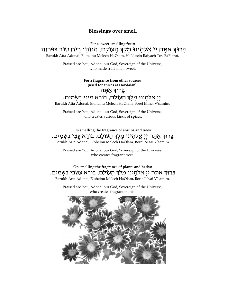### **Blessings over smell**

**For a sweet-smelling fruit:**

# בָּרוּדְּ אַתַּה יִיַ אֱלֹהֵינוּ מַלֵּדְ הַעוֹלַם, הַנּוֹתֵן רַיחַ טוֹב בַּפֵּרוֹת.

Barukh Atta Adonai, Eloheinu Melech HaOlam, HaNotein Raiyach Tov BaPeirot.

Praised are You, Adonai our God, Sovereign of the Universe, who made fruit smell sweet.

> **For a fragrance from other sources (used for spices at Havdalah):**

#### ַ בָּרוּדְ אַתָּה

# יְיָ אֱלֹהָינוּ מָלֶךְ הָעוֹלָם, בּוֹרֵא מִינֵי בִשָּׂמִים.

Barukh Atta Adonai, Eloheinu Melech HaOlam, Borei Minei V'samim.

Praised are You, Adonai our God, Sovereign of the Universe, who creates various kinds of spices.

**On smelling the fragrance of shrubs and trees:** ָּ בָּרוּדְּ אַתָּה יִיַ אֱלֹהֲינוּ מֵלֵֽדְּ הָעוֹלָם, בּוֹרֵא עֲצֵי בְשָׂמִים. Barukh Atta Adonai, Eloheinu Melech HaOlam, Borei Atzai V'samim.

Praised are You, Adonai our God, Sovereign of the Universe, who creates fragrant trees.

**On smelling the fragrance of plants and herbs:** ַּבְרוּדְּ אַתָּה יִיַ אֲלֹהֵינוּ מֵלֶדְּ הַעוֹלַם, בּוֹרֵא עִשְׂבֵי בְשֶׂמִים. Barukh Atta Adonai, Eloheinu Melech HaOlam, Borei Is'vai V'samim.

Praised are You, Adonai our God, Sovereign of the Universe, who creates fragrant plants.

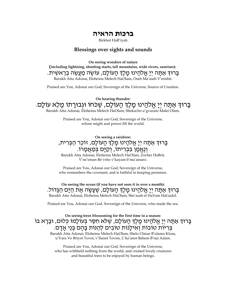## **ברכות הראיה**

Birkhot HaR'iyah

#### **Blessings over sights and sounds**

**On seeing wonders of nature (including lightning, shooting starts, tall mountains, wide rivers, sunrises):**  בָּרוּדְּ אַתָּה יִיַ אֱלֹהֲינוּ מֵלֵֽדְּ הַעוֹלָם, עוֹשֶׂה כַּוְעֵשָׂה בְרֵאשִׁית. Barukh Atta Adonai, Eloheinu Melech HaOlam, Oseh Ma'aseh V'reishit.

Praised are You, Adonai our God, Sovereign of the Universe, Source of Creation.

**On hearing thunder:** בָּרוּדְּ אַתָּה יְיָ אֱלֹהָינוּ מָֽלֶדְ הָעוֹלָם, שֶׁכֹּחוֹ וּגְבוּרָתוֹ מָלֵא עוֹלָם.

Barukh Atta Adonai, Eloheinu Melech HaOlam, Shekocho u'gvurato Malei Olam.

Praised are You, Adonai our God, Sovereign of the Universe, whose might and power fill the world.

**On seeing a rainbow:** ָבְרוּךְ אַתָּה יִיָ אֱלֹהָינוּ מַַלֵּךְ הָעוֹלָם, זוֹכֵר הַבְּרִית, וְנֶאֱמָן בִּבְרִיתוֹ, וְקַיָּם בְּמַאֲמָרוֹ. Barukh Atta Adonai, Eloheinu Melech HaOlam, Zocher HaBrit, V'ne'eman Be'vrito v'kayam b'ma'amaro.

Praised are You, Adonai our God, Sovereign of the Universe, who remembers the covenant, and is faithful in keeping promises.

**On seeing the ocean (if you have not seen it in over a month):** ָבָרוּךְ אַתָּה יִיָ אֱלֹהָינוּ מַלֵּךְ הָעוֹלָם, שֵׁעֲשָׂה אֵת הַיָּם הַגָּדוֹל. Barukh Atta Adonai, Eloheinu Melech HaOlam, She'asah et HaYam HaGadol.

Praised are You, Adonai our God, Sovereign of the Universe, who made the sea.

**On seeing trees blossoming for the first time in a season:** בָּרוּוְּ אַתַּה יִיַ אֱלֹהֲינוּ מַלֶּןְ הַעוֹלָם, שֶׁלֹּא חִסֶּר בְּעוֹלָמוֹ כְּלוּם, וּבָרָא בוֹ בְּרִיּוֹת טוֹבוֹת וְאִילַנוֹת טוֹבִים לְהַנּוֹת בַּהֶם בְּנֵי אֲדָם.

Barukh Atta Adonai, Eloheinu Melech HaOlam, Shelo Chisar B'olamo Klum, u'Vara Vo Briyot Tovot, v'Ilanot Tovim, L'ha'anot Bahem B'nai Adam.

Praised are You, Adonai our God, Sovereign of the Universe, who has withheld nothing from the world, and created lovely creatures and beautiful trees to be enjoyed by human beings.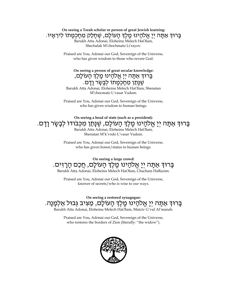# **On seeing a Torah scholar or person of great Jewish learning:** ָבָרוּדְּ אַתָּה יִיַ אֱלֹהֲינוּ מֵלֵֽדְּ הַעוֹלָם, שֶׁחַלַק מֶחַכְמַתוֹ לִירֵאֲיו.

Barukh Atta Adonai, Eloheinu Melech HaOlam, Shechalak M'chochmato Li'rayov.

Praised are You, Adonai our God, Sovereign of the Universe, who has given wisdom to those who revere God.

#### **On seeing a person of great secular knowledge:** ָבָרוּדְּ אַתָּה יִיַ אֱלֹהֲינוּ מֵלֶדְ הָעוֹלָם, שֶׁנַּתַן מֵחָכְמָתוֹ לְבָשֶׂר וָדָם.

Barukh Atta Adonai, Eloheinu Melech HaOlam, Shenatan M'chocmato L'vasar Vadam.

Praised are You, Adonai our God, Sovereign of the Universe, who has given wisdom to human beings.

# **On seeing a head of state (such as a president):** ּבָּרוּדְ אַתָּה יְיָ אֱלֹהָינוּ מְלֶדְ הָעוֹלָם, שֶׁנָּתַן מִכְּבוּדוֹ לְבָשָׂר וָדָם.

Barukh Atta Adonai, Eloheinu Melech HaOlam, Shenatan M'k'vodo L'vasar Vadam.

Praised are You, Adonai our God, Sovereign of the Universe, who has given honor/status to human beings.

**On seeing a large crowd:** ּבָּרוּדְ אַתָּה יְיָ אֱלֹהָינוּ מָלֶדְ הָעוֹלָם, חֲכַם הָרָזִים. Barukh Atta Adonai, Eloheinu Melech HaOlam, Chacham HaRazim.

Praised are You, Adonai our God, Sovereign of the Universe, knower of secrets/who is wise to our ways.

**On seeing a restored synagogue:** בָּרוּדְ אַתָּה יְיָ אֱלֹהָינוּ מֶלֶדְ הָעוֹלָם, מַצִּיב גְּבוּל אַלְמָנָה. Barukh Atta Adonai, Eloheinu Melech HaOlam, Matziv G'vul Al'manah.

> Praised are You, Adonai our God, Sovereign of the Universe, who restores the borders of Zion (literally: "the widow").

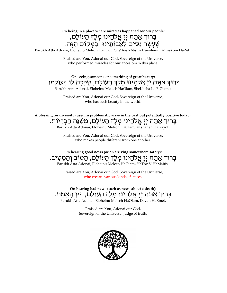**On being in a place where miracles happened for our people:** בְּרוּדְ אַתָּה יְיָ אֱלֹהָינוּ מֶלֶדְ הָעוֹלָם, שֶׁעֲשֶׂה נִסִּים לַאֲבוֹתֵינוּ \_בַּמַּקוֹם הַזֶּה.

Barukh Atta Adonai, Eloheinu Melech HaOlam, She'Asah Nisim L'avoteinu Ba'makom HaZeh.

Praised are You, Adonai our God, Sovereign of the Universe, who performed miracles for our ancestors in this place.

**On seeing someone or something of great beauty:** בָּרוּדְּ אֲתֶּה יְיָ אֱלֹהָינוּ מָלֶדְ הָעוֹלָם, שֶׂכָּכָה לּוֹ בְּעוֹלָמוֹ. Barukh Atta Adonai, Eloheinu Melech HaOlam, SheKacha Lo B'Olamo.

Praised are You, Adonai our God, Sovereign of the Universe,

who has such beauty in the world.

**A blessing for diversity (used in problematic ways in the past but potentially positive today):** ָּבְרוּדְּ אַתָּה יְיָ אֱלֹהָינוּ מֶלֶדְ הָעוֹלָם, מְשַׁנֶּה הַבְּרִיּוֹת. Barukh Atta Adonai, Eloheinu Melech HaOlam, M'shaneh HaBriyot.

> Praised are You, Adonai our God, Sovereign of the Universe, who makes people different from one another.

**On hearing good news (or on arriving somewhere safely):** בְּרוּדְ אַתָּה יְיָ אֱלֹהָינוּ מָֽכֶדְ הָעוֹלָם, הַטּוֹב וְהַמֵּטִיב. Barukh Atta Adonai, Eloheinu Melech HaOlam, HaTov V'HaMaitiv.

> Praised are You, Adonai our God, Sovereign of the Universe, who creates various kinds of spices.

**On hearing bad news (such as news about a death):** בָּרוּךְ אַתָּה יְיָ אֱלֹהָינוּ מֶלֶךְ הָעוֹלַם, <u>דַּי</u>ּו הַאֲמֵת. Barukh Atta Adonai, Eloheinu Melech HaOlam, Dayan HaEmet.

> Praised are You, Adonai our God, Sovereign of the Universe, Judge of truth.